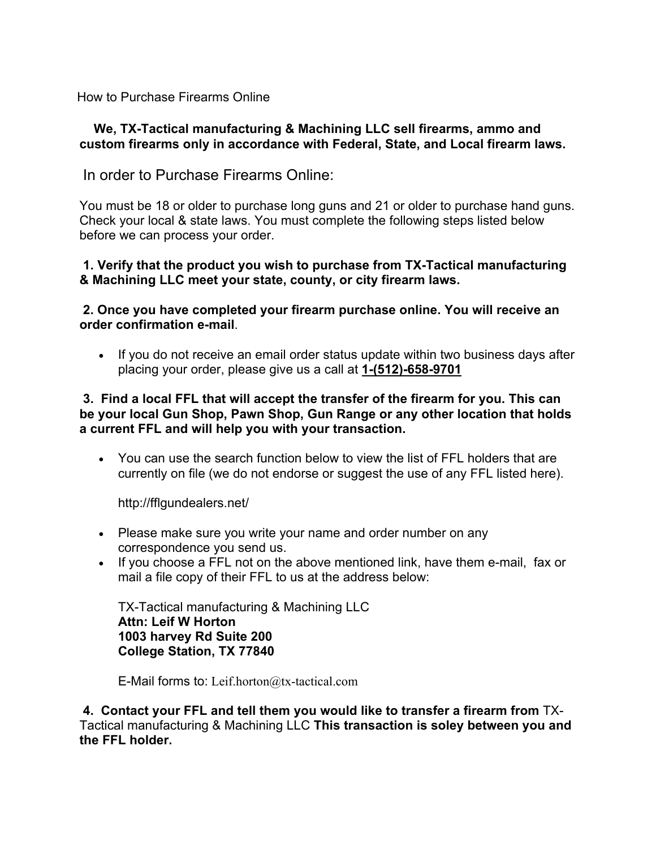How to Purchase Firearms Online

## **We, TX-Tactical manufacturing & Machining LLC sell firearms, ammo and custom firearms only in accordance with Federal, State, and Local firearm laws.**

In order to Purchase Firearms Online:

You must be 18 or older to purchase long guns and 21 or older to purchase hand guns. Check your local & state laws. You must complete the following steps listed below before we can process your order.

## **1. Verify that the product you wish to purchase from TX-Tactical manufacturing & Machining LLC meet your state, county, or city firearm laws.**

## **2. Once you have completed your firearm purchase online. You will receive an order confirmation e-mail**.

• If you do not receive an email order status update within two business days after placing your order, please give us a call at **1-(512)-658-9701**

#### **3. Find a local FFL that will accept the transfer of the firearm for you. This can be your local Gun Shop, Pawn Shop, Gun Range or any other location that holds a current FFL and will help you with your transaction.**

 You can use the search function below to view the list of FFL holders that are currently on file (we do not endorse or suggest the use of any FFL listed here).

http://fflgundealers.net/

- Please make sure you write your name and order number on any correspondence you send us.
- If you choose a FFL not on the above mentioned link, have them e-mail, fax or mail a file copy of their FFL to us at the address below:

TX-Tactical manufacturing & Machining LLC **Attn: Leif W Horton 1003 harvey Rd Suite 200 College Station, TX 77840**

E-Mail forms to: Leif.horton $@$ tx-tactical.com

 **4. Contact your FFL and tell them you would like to transfer a firearm from** TX-Tactical manufacturing & Machining LLC **This transaction is soley between you and the FFL holder.**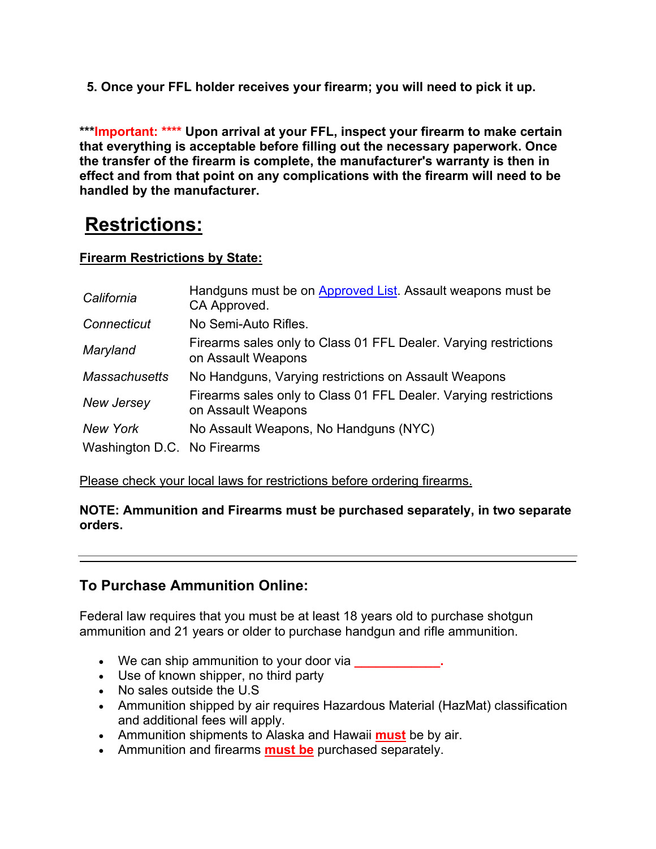**5. Once your FFL holder receives your firearm; you will need to pick it up.**

**\*\*\*Important: \*\*\*\* Upon arrival at your FFL, inspect your firearm to make certain that everything is acceptable before filling out the necessary paperwork. Once the transfer of the firearm is complete, the manufacturer's warranty is then in effect and from that point on any complications with the firearm will need to be handled by the manufacturer.**

# **Restrictions:**

## **Firearm Restrictions by State:**

| California                  | Handguns must be on Approved List. Assault weapons must be<br>CA Approved.             |
|-----------------------------|----------------------------------------------------------------------------------------|
| Connecticut                 | No Semi-Auto Rifles.                                                                   |
| Maryland                    | Firearms sales only to Class 01 FFL Dealer. Varying restrictions<br>on Assault Weapons |
| <b>Massachusetts</b>        | No Handguns, Varying restrictions on Assault Weapons                                   |
| New Jersey                  | Firearms sales only to Class 01 FFL Dealer. Varying restrictions<br>on Assault Weapons |
| New York                    | No Assault Weapons, No Handguns (NYC)                                                  |
| Washington D.C. No Firearms |                                                                                        |

Please check your local laws for restrictions before ordering firearms.

## **NOTE: Ammunition and Firearms must be purchased separately, in two separate orders.**

# **To Purchase Ammunition Online:**

Federal law requires that you must be at least 18 years old to purchase shotgun ammunition and 21 years or older to purchase handgun and rifle ammunition.

- We can ship ammunition to your door via **\_\_\_\_\_\_\_\_\_\_\_\_.**
- Use of known shipper, no third party
- No sales outside the U.S
- Ammunition shipped by air requires Hazardous Material (HazMat) classification and additional fees will apply.
- Ammunition shipments to Alaska and Hawaii **must** be by air.
- Ammunition and firearms **must be** purchased separately.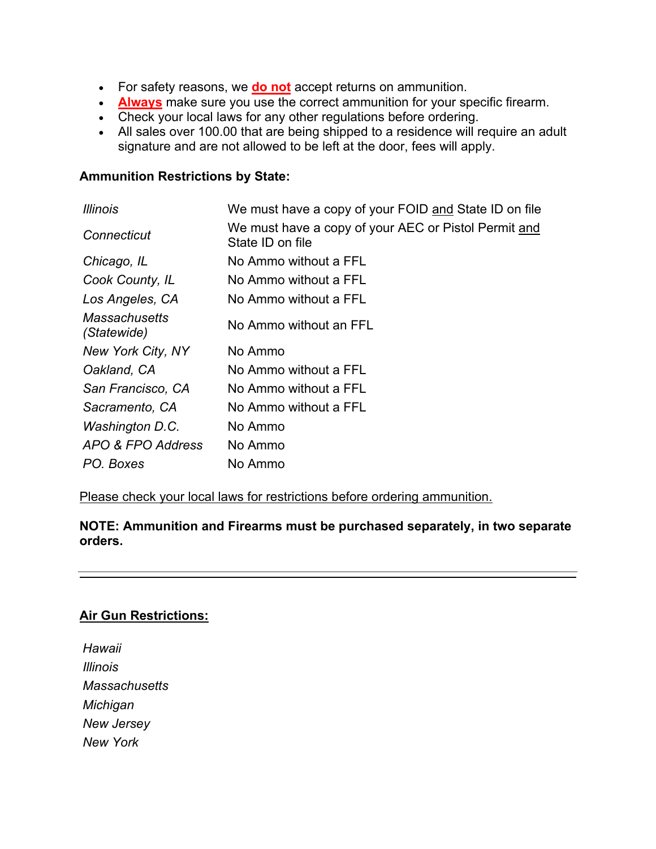- For safety reasons, we **do not** accept returns on ammunition.
- **Always** make sure you use the correct ammunition for your specific firearm.
- Check your local laws for any other regulations before ordering.
- All sales over 100.00 that are being shipped to a residence will require an adult signature and are not allowed to be left at the door, fees will apply.

## **Ammunition Restrictions by State:**

| <i>Illinois</i>                     | We must have a copy of your FOID and State ID on file                    |
|-------------------------------------|--------------------------------------------------------------------------|
| Connecticut                         | We must have a copy of your AEC or Pistol Permit and<br>State ID on file |
| Chicago, IL                         | No Ammo without a FFL                                                    |
| Cook County, IL                     | No Ammo without a FFL                                                    |
| Los Angeles, CA                     | No Ammo without a FFL                                                    |
| <b>Massachusetts</b><br>(Statewide) | No Ammo without an FFL                                                   |
| New York City, NY                   | No Ammo                                                                  |
| Oakland, CA                         | No Ammo without a FFL                                                    |
| San Francisco, CA                   | No Ammo without a FFL                                                    |
| Sacramento, CA                      | No Ammo without a FFL                                                    |
| Washington D.C.                     | No Ammo                                                                  |
| APO & FPO Address                   | No Ammo                                                                  |
| PO. Boxes                           | No Ammo                                                                  |

Please check your local laws for restrictions before ordering ammunition.

**NOTE: Ammunition and Firearms must be purchased separately, in two separate orders.** 

## **Air Gun Restrictions:**

*Hawaii Illinois Massachusetts Michigan New Jersey New York*